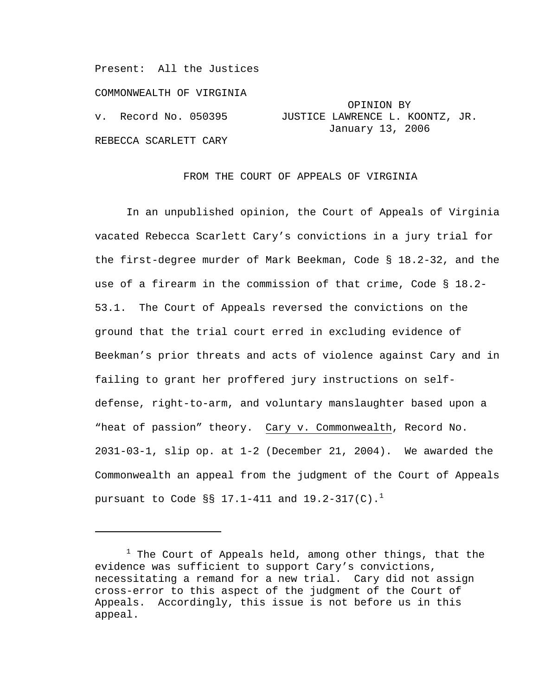Present: All the Justices COMMONWEALTH OF VIRGINIA OPINION BY<br>v. Record No. 050395 JUSTICE LAWRENCE L. K REBECCA SCARLETT CARY

i

JUSTICE LAWRENCE L. KOONTZ, JR. January 13, 2006

### FROM THE COURT OF APPEALS OF VIRGINIA

In an unpublished opinion, the Court of Appeals of Virginia vacated Rebecca Scarlett Cary's convictions in a jury trial for the first-degree murder of Mark Beekman, Code § 18.2-32, and the use of a firearm in the commission of that crime, Code § 18.2- 53.1. The Court of Appeals reversed the convictions on the ground that the trial court erred in excluding evidence of Beekman's prior threats and acts of violence against Cary and in failing to grant her proffered jury instructions on selfdefense, right-to-arm, and voluntary manslaughter based upon a "heat of passion" theory. Cary v. Commonwealth, Record No. 2031-03-1, slip op. at 1-2 (December 21, 2004). We awarded the Commonwealth an appeal from the judgment of the Court of Appeals pursuant to Code §§ 17.1-411 and 19.2-317(C).<sup>1</sup>

 $^1$  The Court of Appeals held, among other things, that the evidence was sufficient to support Cary's convictions, necessitating a remand for a new trial. Cary did not assign cross-error to this aspect of the judgment of the Court of Appeals. Accordingly, this issue is not before us in this appeal.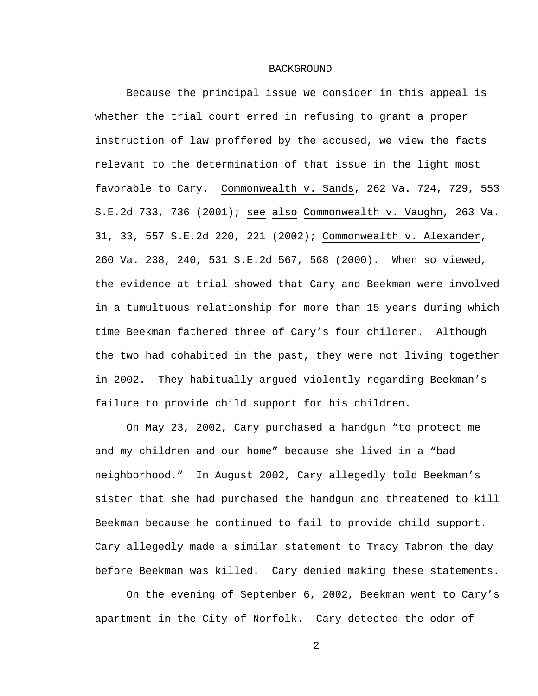#### BACKGROUND

Because the principal issue we consider in this appeal is whether the trial court erred in refusing to grant a proper instruction of law proffered by the accused, we view the facts relevant to the determination of that issue in the light most favorable to Cary. Commonwealth v. Sands, 262 Va. 724, 729, 553 S.E.2d 733, 736 (2001); see also Commonwealth v. Vaughn, 263 Va. 31, 33, 557 S.E.2d 220, 221 (2002); Commonwealth v. Alexander, 260 Va. 238, 240, 531 S.E.2d 567, 568 (2000). When so viewed, the evidence at trial showed that Cary and Beekman were involved in a tumultuous relationship for more than 15 years during which time Beekman fathered three of Cary's four children. Although the two had cohabited in the past, they were not living together in 2002. They habitually argued violently regarding Beekman's failure to provide child support for his children.

On May 23, 2002, Cary purchased a handgun "to protect me and my children and our home" because she lived in a "bad neighborhood." In August 2002, Cary allegedly told Beekman's sister that she had purchased the handgun and threatened to kill Beekman because he continued to fail to provide child support. Cary allegedly made a similar statement to Tracy Tabron the day before Beekman was killed. Cary denied making these statements.

On the evening of September 6, 2002, Beekman went to Cary's apartment in the City of Norfolk. Cary detected the odor of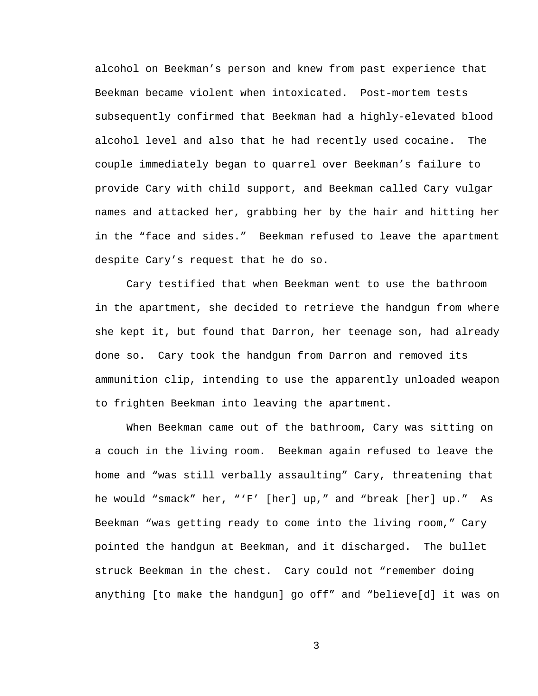alcohol on Beekman's person and knew from past experience that Beekman became violent when intoxicated. Post-mortem tests subsequently confirmed that Beekman had a highly-elevated blood alcohol level and also that he had recently used cocaine. The couple immediately began to quarrel over Beekman's failure to provide Cary with child support, and Beekman called Cary vulgar names and attacked her, grabbing her by the hair and hitting her in the "face and sides." Beekman refused to leave the apartment despite Cary's request that he do so.

Cary testified that when Beekman went to use the bathroom in the apartment, she decided to retrieve the handgun from where she kept it, but found that Darron, her teenage son, had already done so. Cary took the handgun from Darron and removed its ammunition clip, intending to use the apparently unloaded weapon to frighten Beekman into leaving the apartment.

When Beekman came out of the bathroom, Cary was sitting on a couch in the living room. Beekman again refused to leave the home and "was still verbally assaulting" Cary, threatening that he would "smack" her, "'F' [her] up," and "break [her] up." As Beekman "was getting ready to come into the living room," Cary pointed the handgun at Beekman, and it discharged. The bullet struck Beekman in the chest. Cary could not "remember doing anything [to make the handgun] go off" and "believe[d] it was on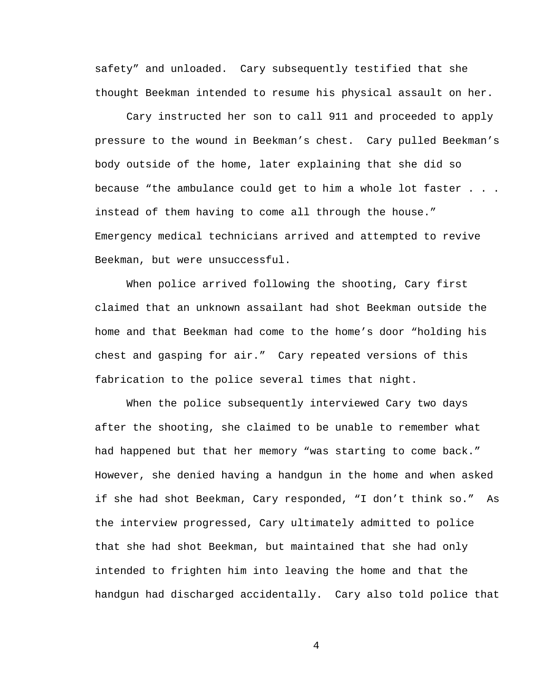safety" and unloaded. Cary subsequently testified that she thought Beekman intended to resume his physical assault on her.

Cary instructed her son to call 911 and proceeded to apply pressure to the wound in Beekman's chest. Cary pulled Beekman's body outside of the home, later explaining that she did so because "the ambulance could get to him a whole lot faster . . . instead of them having to come all through the house." Emergency medical technicians arrived and attempted to revive Beekman, but were unsuccessful.

When police arrived following the shooting, Cary first claimed that an unknown assailant had shot Beekman outside the home and that Beekman had come to the home's door "holding his chest and gasping for air." Cary repeated versions of this fabrication to the police several times that night.

When the police subsequently interviewed Cary two days after the shooting, she claimed to be unable to remember what had happened but that her memory "was starting to come back." However, she denied having a handgun in the home and when asked if she had shot Beekman, Cary responded, "I don't think so." As the interview progressed, Cary ultimately admitted to police that she had shot Beekman, but maintained that she had only intended to frighten him into leaving the home and that the handgun had discharged accidentally. Cary also told police that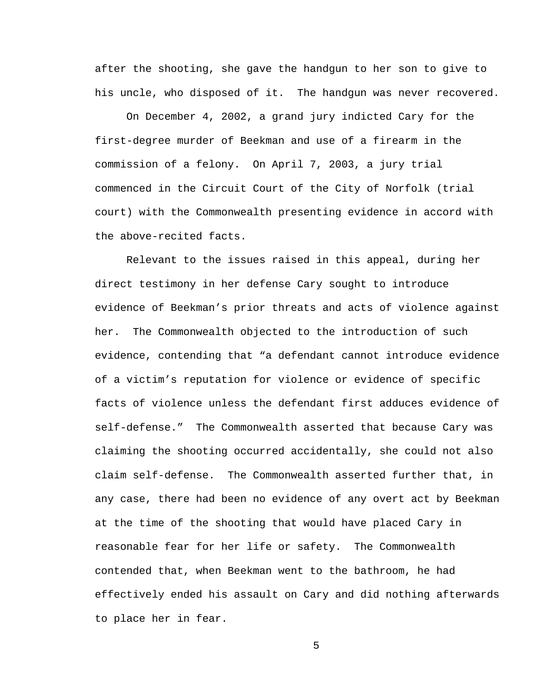after the shooting, she gave the handgun to her son to give to his uncle, who disposed of it. The handgun was never recovered.

On December 4, 2002, a grand jury indicted Cary for the first-degree murder of Beekman and use of a firearm in the commission of a felony. On April 7, 2003, a jury trial commenced in the Circuit Court of the City of Norfolk (trial court) with the Commonwealth presenting evidence in accord with the above-recited facts.

Relevant to the issues raised in this appeal, during her direct testimony in her defense Cary sought to introduce evidence of Beekman's prior threats and acts of violence against her. The Commonwealth objected to the introduction of such evidence, contending that "a defendant cannot introduce evidence of a victim's reputation for violence or evidence of specific facts of violence unless the defendant first adduces evidence of self-defense." The Commonwealth asserted that because Cary was claiming the shooting occurred accidentally, she could not also claim self-defense. The Commonwealth asserted further that, in any case, there had been no evidence of any overt act by Beekman at the time of the shooting that would have placed Cary in reasonable fear for her life or safety. The Commonwealth contended that, when Beekman went to the bathroom, he had effectively ended his assault on Cary and did nothing afterwards to place her in fear.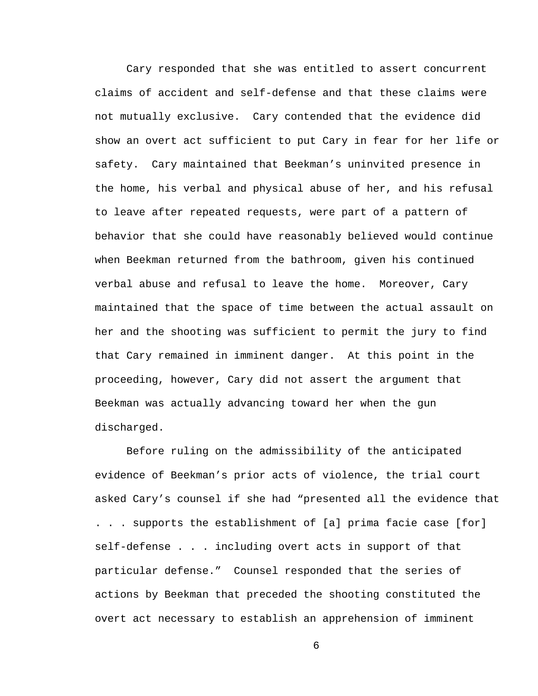Cary responded that she was entitled to assert concurrent claims of accident and self-defense and that these claims were not mutually exclusive. Cary contended that the evidence did show an overt act sufficient to put Cary in fear for her life or safety. Cary maintained that Beekman's uninvited presence in the home, his verbal and physical abuse of her, and his refusal to leave after repeated requests, were part of a pattern of behavior that she could have reasonably believed would continue when Beekman returned from the bathroom, given his continued verbal abuse and refusal to leave the home. Moreover, Cary maintained that the space of time between the actual assault on her and the shooting was sufficient to permit the jury to find that Cary remained in imminent danger. At this point in the proceeding, however, Cary did not assert the argument that Beekman was actually advancing toward her when the gun discharged.

Before ruling on the admissibility of the anticipated evidence of Beekman's prior acts of violence, the trial court asked Cary's counsel if she had "presented all the evidence that . . . supports the establishment of [a] prima facie case [for] self-defense . . . including overt acts in support of that particular defense." Counsel responded that the series of actions by Beekman that preceded the shooting constituted the overt act necessary to establish an apprehension of imminent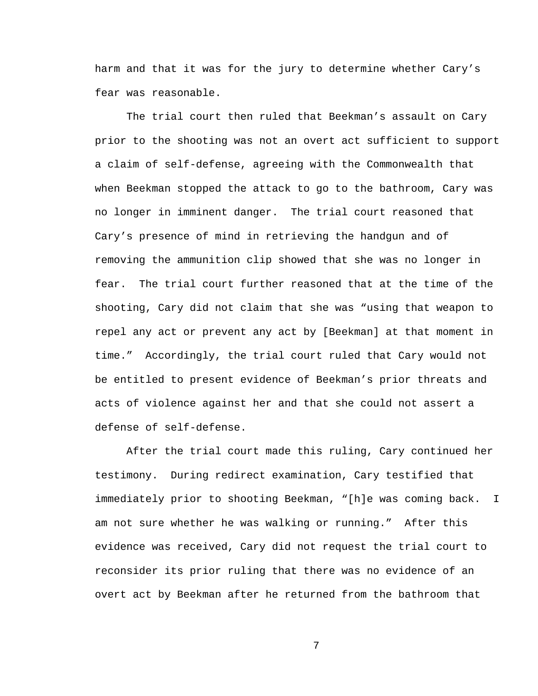harm and that it was for the jury to determine whether Cary's fear was reasonable.

The trial court then ruled that Beekman's assault on Cary prior to the shooting was not an overt act sufficient to support a claim of self-defense, agreeing with the Commonwealth that when Beekman stopped the attack to go to the bathroom, Cary was no longer in imminent danger. The trial court reasoned that Cary's presence of mind in retrieving the handgun and of removing the ammunition clip showed that she was no longer in fear. The trial court further reasoned that at the time of the shooting, Cary did not claim that she was "using that weapon to repel any act or prevent any act by [Beekman] at that moment in time." Accordingly, the trial court ruled that Cary would not be entitled to present evidence of Beekman's prior threats and acts of violence against her and that she could not assert a defense of self-defense.

After the trial court made this ruling, Cary continued her testimony. During redirect examination, Cary testified that immediately prior to shooting Beekman, "[h]e was coming back. I am not sure whether he was walking or running." After this evidence was received, Cary did not request the trial court to reconsider its prior ruling that there was no evidence of an overt act by Beekman after he returned from the bathroom that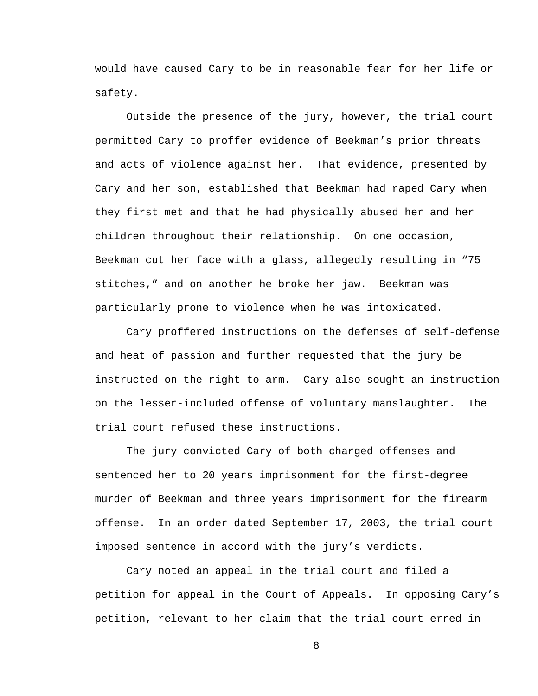would have caused Cary to be in reasonable fear for her life or safety.

Outside the presence of the jury, however, the trial court permitted Cary to proffer evidence of Beekman's prior threats and acts of violence against her. That evidence, presented by Cary and her son, established that Beekman had raped Cary when they first met and that he had physically abused her and her children throughout their relationship. On one occasion, Beekman cut her face with a glass, allegedly resulting in "75 stitches," and on another he broke her jaw. Beekman was particularly prone to violence when he was intoxicated.

Cary proffered instructions on the defenses of self-defense and heat of passion and further requested that the jury be instructed on the right-to-arm. Cary also sought an instruction on the lesser-included offense of voluntary manslaughter. The trial court refused these instructions.

The jury convicted Cary of both charged offenses and sentenced her to 20 years imprisonment for the first-degree murder of Beekman and three years imprisonment for the firearm offense. In an order dated September 17, 2003, the trial court imposed sentence in accord with the jury's verdicts.

Cary noted an appeal in the trial court and filed a petition for appeal in the Court of Appeals. In opposing Cary's petition, relevant to her claim that the trial court erred in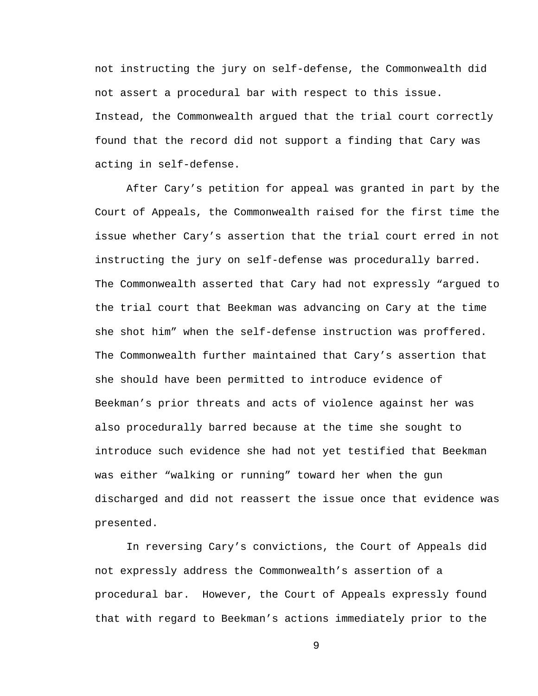not instructing the jury on self-defense, the Commonwealth did not assert a procedural bar with respect to this issue. Instead, the Commonwealth argued that the trial court correctly found that the record did not support a finding that Cary was acting in self-defense.

After Cary's petition for appeal was granted in part by the Court of Appeals, the Commonwealth raised for the first time the issue whether Cary's assertion that the trial court erred in not instructing the jury on self-defense was procedurally barred. The Commonwealth asserted that Cary had not expressly "argued to the trial court that Beekman was advancing on Cary at the time she shot him" when the self-defense instruction was proffered. The Commonwealth further maintained that Cary's assertion that she should have been permitted to introduce evidence of Beekman's prior threats and acts of violence against her was also procedurally barred because at the time she sought to introduce such evidence she had not yet testified that Beekman was either "walking or running" toward her when the gun discharged and did not reassert the issue once that evidence was presented.

In reversing Cary's convictions, the Court of Appeals did not expressly address the Commonwealth's assertion of a procedural bar. However, the Court of Appeals expressly found that with regard to Beekman's actions immediately prior to the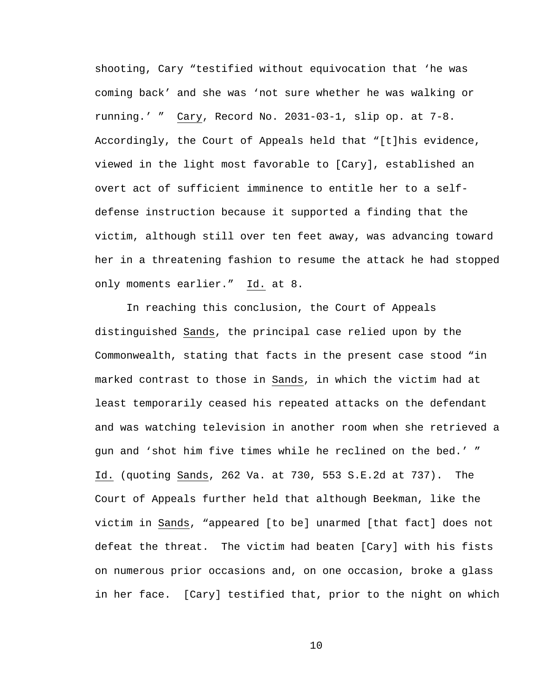shooting, Cary "testified without equivocation that 'he was coming back' and she was 'not sure whether he was walking or running.' " Cary, Record No. 2031-03-1, slip op. at 7-8. Accordingly, the Court of Appeals held that "[t]his evidence, viewed in the light most favorable to [Cary], established an overt act of sufficient imminence to entitle her to a selfdefense instruction because it supported a finding that the victim, although still over ten feet away, was advancing toward her in a threatening fashion to resume the attack he had stopped only moments earlier." Id. at 8.

In reaching this conclusion, the Court of Appeals distinguished Sands, the principal case relied upon by the Commonwealth, stating that facts in the present case stood "in marked contrast to those in Sands, in which the victim had at least temporarily ceased his repeated attacks on the defendant and was watching television in another room when she retrieved a gun and 'shot him five times while he reclined on the bed.' " Id. (quoting Sands, 262 Va. at 730, 553 S.E.2d at 737). The Court of Appeals further held that although Beekman, like the victim in Sands, "appeared [to be] unarmed [that fact] does not defeat the threat. The victim had beaten [Cary] with his fists on numerous prior occasions and, on one occasion, broke a glass in her face. [Cary] testified that, prior to the night on which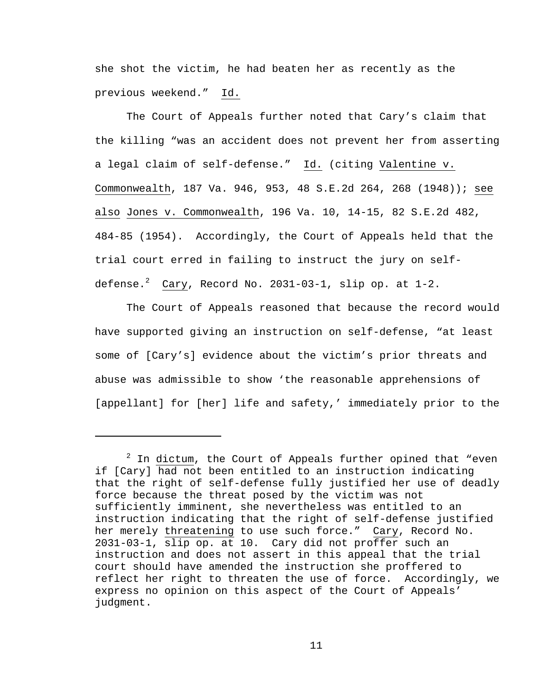she shot the victim, he had beaten her as recently as the previous weekend." Id.

The Court of Appeals further noted that Cary's claim that the killing "was an accident does not prevent her from asserting a legal claim of self-defense." Id. (citing Valentine v. Commonwealth, 187 Va. 946, 953, 48 S.E.2d 264, 268 (1948)); see also Jones v. Commonwealth, 196 Va. 10, 14-15, 82 S.E.2d 482, 484-85 (1954). Accordingly, the Court of Appeals held that the trial court erred in failing to instruct the jury on selfdefense. $^2$  Cary, Record No. 2031-03-1, slip op. at 1-2.

The Court of Appeals reasoned that because the record would have supported giving an instruction on self-defense, "at least some of [Cary's] evidence about the victim's prior threats and abuse was admissible to show 'the reasonable apprehensions of [appellant] for [her] life and safety,' immediately prior to the

i

 $2$  In dictum, the Court of Appeals further opined that "even if [Cary] had not been entitled to an instruction indicating that the right of self-defense fully justified her use of deadly force because the threat posed by the victim was not sufficiently imminent, she nevertheless was entitled to an instruction indicating that the right of self-defense justified her merely threatening to use such force." Cary, Record No. 2031-03-1, slip op. at 10. Cary did not proffer such an instruction and does not assert in this appeal that the trial court should have amended the instruction she proffered to reflect her right to threaten the use of force. Accordingly, we express no opinion on this aspect of the Court of Appeals' judgment.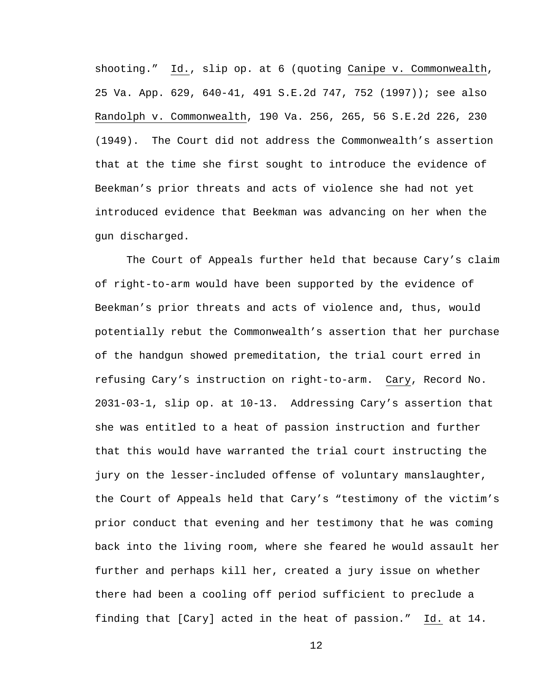shooting." Id., slip op. at 6 (quoting Canipe v. Commonwealth, 25 Va. App. 629, 640-41, 491 S.E.2d 747, 752 (1997)); see also Randolph v. Commonwealth, 190 Va. 256, 265, 56 S.E.2d 226, 230 (1949). The Court did not address the Commonwealth's assertion that at the time she first sought to introduce the evidence of Beekman's prior threats and acts of violence she had not yet introduced evidence that Beekman was advancing on her when the gun discharged.

The Court of Appeals further held that because Cary's claim of right-to-arm would have been supported by the evidence of Beekman's prior threats and acts of violence and, thus, would potentially rebut the Commonwealth's assertion that her purchase of the handgun showed premeditation, the trial court erred in refusing Cary's instruction on right-to-arm. Cary, Record No. 2031-03-1, slip op. at 10-13. Addressing Cary's assertion that she was entitled to a heat of passion instruction and further that this would have warranted the trial court instructing the jury on the lesser-included offense of voluntary manslaughter, the Court of Appeals held that Cary's "testimony of the victim's prior conduct that evening and her testimony that he was coming back into the living room, where she feared he would assault her further and perhaps kill her, created a jury issue on whether there had been a cooling off period sufficient to preclude a finding that [Cary] acted in the heat of passion." Id. at 14.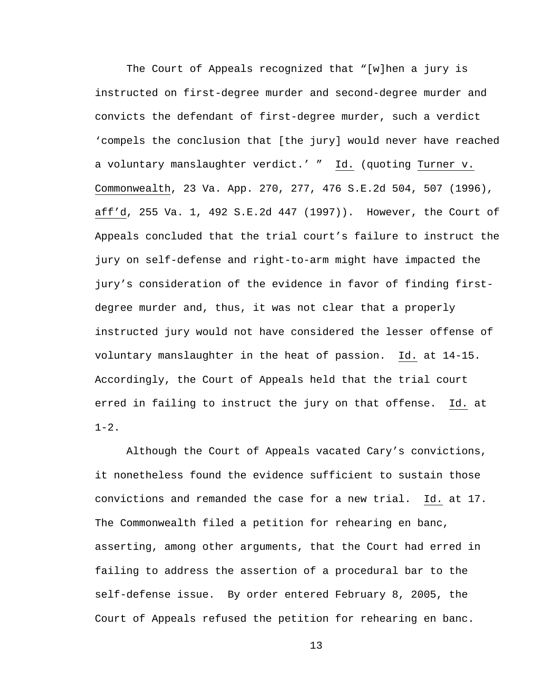The Court of Appeals recognized that "[w]hen a jury is instructed on first-degree murder and second-degree murder and convicts the defendant of first-degree murder, such a verdict 'compels the conclusion that [the jury] would never have reached a voluntary manslaughter verdict.' " Id. (quoting Turner v. Commonwealth, 23 Va. App. 270, 277, 476 S.E.2d 504, 507 (1996), aff'd, 255 Va. 1, 492 S.E.2d 447 (1997)). However, the Court of Appeals concluded that the trial court's failure to instruct the jury on self-defense and right-to-arm might have impacted the jury's consideration of the evidence in favor of finding firstdegree murder and, thus, it was not clear that a properly instructed jury would not have considered the lesser offense of voluntary manslaughter in the heat of passion. Id. at 14-15. Accordingly, the Court of Appeals held that the trial court erred in failing to instruct the jury on that offense. Id. at  $1 - 2$ .

Although the Court of Appeals vacated Cary's convictions, it nonetheless found the evidence sufficient to sustain those convictions and remanded the case for a new trial. Id. at 17. The Commonwealth filed a petition for rehearing en banc, asserting, among other arguments, that the Court had erred in failing to address the assertion of a procedural bar to the self-defense issue. By order entered February 8, 2005, the Court of Appeals refused the petition for rehearing en banc.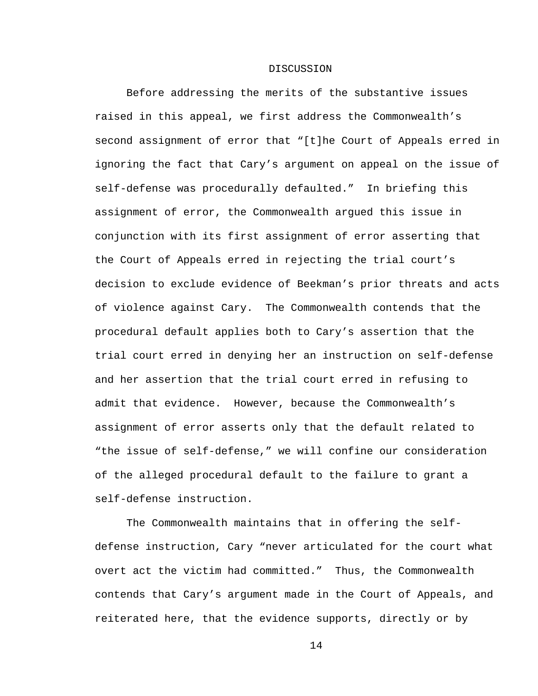#### DISCUSSION

Before addressing the merits of the substantive issues raised in this appeal, we first address the Commonwealth's second assignment of error that "[t]he Court of Appeals erred in ignoring the fact that Cary's argument on appeal on the issue of self-defense was procedurally defaulted." In briefing this assignment of error, the Commonwealth argued this issue in conjunction with its first assignment of error asserting that the Court of Appeals erred in rejecting the trial court's decision to exclude evidence of Beekman's prior threats and acts of violence against Cary. The Commonwealth contends that the procedural default applies both to Cary's assertion that the trial court erred in denying her an instruction on self-defense and her assertion that the trial court erred in refusing to admit that evidence. However, because the Commonwealth's assignment of error asserts only that the default related to "the issue of self-defense," we will confine our consideration of the alleged procedural default to the failure to grant a self-defense instruction.

The Commonwealth maintains that in offering the selfdefense instruction, Cary "never articulated for the court what overt act the victim had committed." Thus, the Commonwealth contends that Cary's argument made in the Court of Appeals, and reiterated here, that the evidence supports, directly or by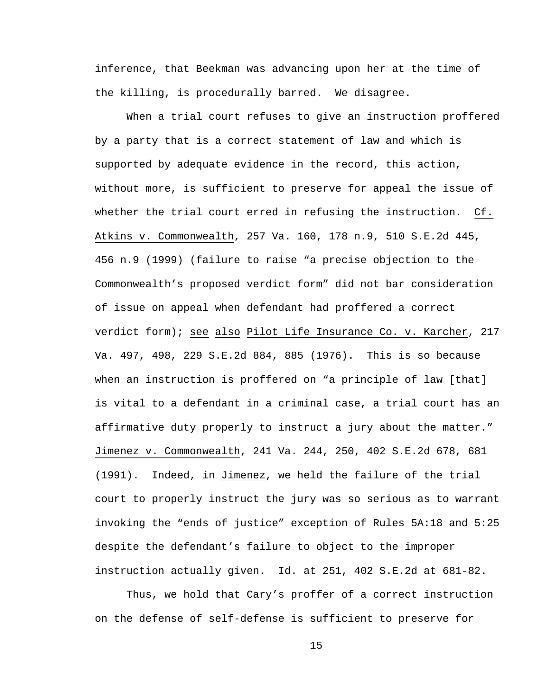inference, that Beekman was advancing upon her at the time of the killing, is procedurally barred. We disagree.

When a trial court refuses to give an instruction proffered by a party that is a correct statement of law and which is supported by adequate evidence in the record, this action, without more, is sufficient to preserve for appeal the issue of whether the trial court erred in refusing the instruction. Cf. Atkins v. Commonwealth, 257 Va. 160, 178 n.9, 510 S.E.2d 445, 456 n.9 (1999) (failure to raise "a precise objection to the Commonwealth's proposed verdict form" did not bar consideration of issue on appeal when defendant had proffered a correct verdict form); see also Pilot Life Insurance Co. v. Karcher, 217 Va. 497, 498, 229 S.E.2d 884, 885 (1976). This is so because when an instruction is proffered on "a principle of law [that] is vital to a defendant in a criminal case, a trial court has an affirmative duty properly to instruct a jury about the matter." Jimenez v. Commonwealth, 241 Va. 244, 250, 402 S.E.2d 678, 681 (1991). Indeed, in Jimenez, we held the failure of the trial court to properly instruct the jury was so serious as to warrant invoking the "ends of justice" exception of Rules 5A:18 and 5:25 despite the defendant's failure to object to the improper instruction actually given. Id. at 251, 402 S.E.2d at 681-82.

Thus, we hold that Cary's proffer of a correct instruction on the defense of self-defense is sufficient to preserve for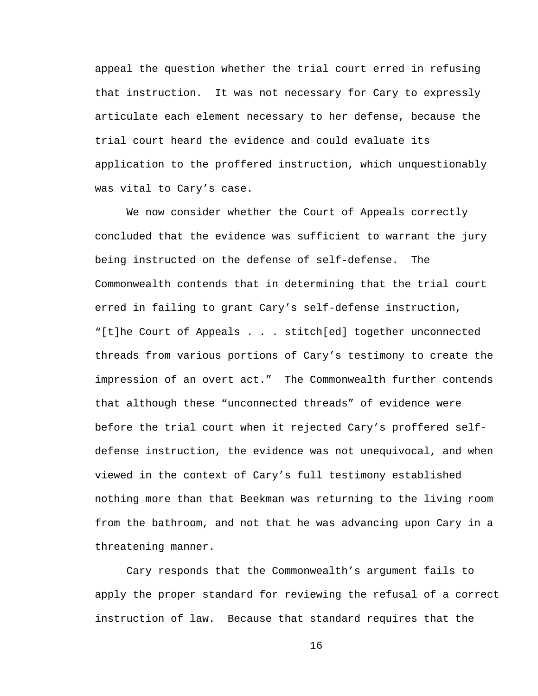appeal the question whether the trial court erred in refusing that instruction. It was not necessary for Cary to expressly articulate each element necessary to her defense, because the trial court heard the evidence and could evaluate its application to the proffered instruction, which unquestionably was vital to Cary's case.

We now consider whether the Court of Appeals correctly concluded that the evidence was sufficient to warrant the jury being instructed on the defense of self-defense. The Commonwealth contends that in determining that the trial court erred in failing to grant Cary's self-defense instruction, "[t]he Court of Appeals . . . stitch[ed] together unconnected threads from various portions of Cary's testimony to create the impression of an overt act." The Commonwealth further contends that although these "unconnected threads" of evidence were before the trial court when it rejected Cary's proffered selfdefense instruction, the evidence was not unequivocal, and when viewed in the context of Cary's full testimony established nothing more than that Beekman was returning to the living room from the bathroom, and not that he was advancing upon Cary in a threatening manner.

Cary responds that the Commonwealth's argument fails to apply the proper standard for reviewing the refusal of a correct instruction of law. Because that standard requires that the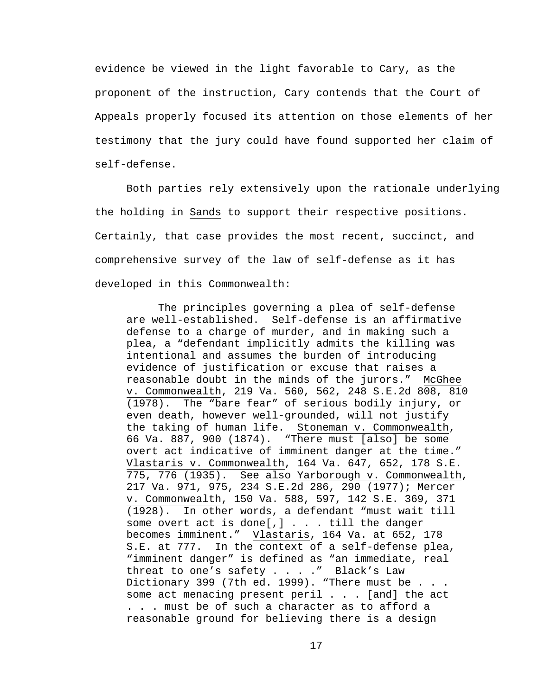evidence be viewed in the light favorable to Cary, as the proponent of the instruction, Cary contends that the Court of Appeals properly focused its attention on those elements of her testimony that the jury could have found supported her claim of self-defense.

Both parties rely extensively upon the rationale underlying the holding in Sands to support their respective positions. Certainly, that case provides the most recent, succinct, and comprehensive survey of the law of self-defense as it has developed in this Commonwealth:

The principles governing a plea of self-defense are well-established. Self-defense is an affirmative defense to a charge of murder, and in making such a plea, a "defendant implicitly admits the killing was intentional and assumes the burden of introducing evidence of justification or excuse that raises a reasonable doubt in the minds of the jurors." McGhee v. Commonwealth, 219 Va. 560, 562, 248 S.E.2d 808, 810 (1978). The "bare fear" of serious bodily injury, or even death, however well-grounded, will not justify the taking of human life. Stoneman v. Commonwealth, 66 Va. 887, 900 (1874). "There must [also] be some overt act indicative of imminent danger at the time." Vlastaris v. Commonwealth, 164 Va. 647, 652, 178 S.E. 775, 776 (1935). See also Yarborough v. Commonwealth, 217 Va. 971, 975, 234 S.E.2d 286, 290 (1977); Mercer v. Commonwealth, 150 Va. 588, 597, 142 S.E. 369, 371 (1928). In other words, a defendant "must wait till some overt act is done[,] . . . till the danger becomes imminent." Vlastaris, 164 Va. at 652, 178 S.E. at 777. In the context of a self-defense plea, "imminent danger" is defined as "an immediate, real threat to one's safety . . . ." Black's Law Dictionary 399 (7th ed. 1999). "There must be . . . some act menacing present peril . . . [and] the act . . . must be of such a character as to afford a reasonable ground for believing there is a design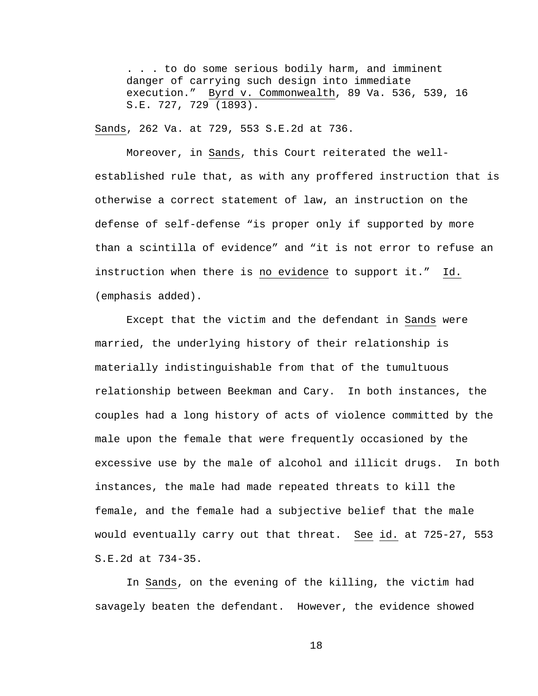. . . to do some serious bodily harm, and imminent danger of carrying such design into immediate execution." Byrd v. Commonwealth, 89 Va. 536, 539, 16 S.E. 727, 729 (1893).

Sands, 262 Va. at 729, 553 S.E.2d at 736.

Moreover, in Sands, this Court reiterated the wellestablished rule that, as with any proffered instruction that is otherwise a correct statement of law, an instruction on the defense of self-defense "is proper only if supported by more than a scintilla of evidence" and "it is not error to refuse an instruction when there is no evidence to support it." Id. (emphasis added).

Except that the victim and the defendant in Sands were married, the underlying history of their relationship is materially indistinguishable from that of the tumultuous relationship between Beekman and Cary. In both instances, the couples had a long history of acts of violence committed by the male upon the female that were frequently occasioned by the excessive use by the male of alcohol and illicit drugs. In both instances, the male had made repeated threats to kill the female, and the female had a subjective belief that the male would eventually carry out that threat. See id. at 725-27, 553 S.E.2d at 734-35.

In Sands, on the evening of the killing, the victim had savagely beaten the defendant. However, the evidence showed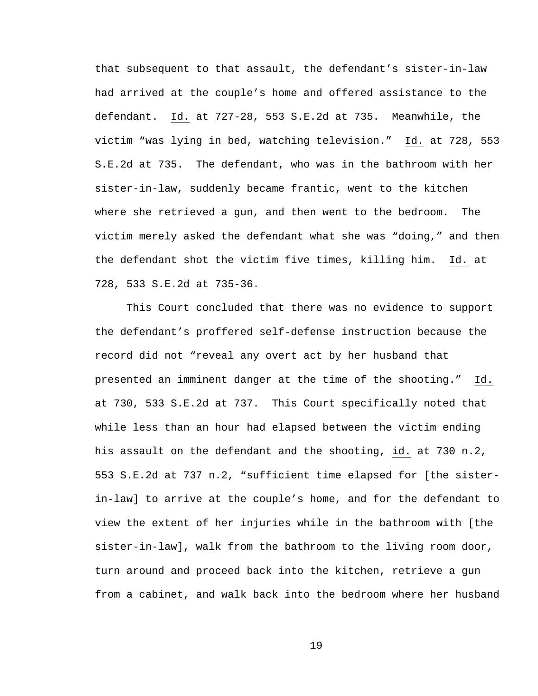that subsequent to that assault, the defendant's sister-in-law had arrived at the couple's home and offered assistance to the defendant. Id. at 727-28, 553 S.E.2d at 735. Meanwhile, the victim "was lying in bed, watching television." Id. at 728, 553 S.E.2d at 735. The defendant, who was in the bathroom with her sister-in-law, suddenly became frantic, went to the kitchen where she retrieved a gun, and then went to the bedroom. The victim merely asked the defendant what she was "doing," and then the defendant shot the victim five times, killing him. Id. at 728, 533 S.E.2d at 735-36.

This Court concluded that there was no evidence to support the defendant's proffered self-defense instruction because the record did not "reveal any overt act by her husband that presented an imminent danger at the time of the shooting." Id. at 730, 533 S.E.2d at 737. This Court specifically noted that while less than an hour had elapsed between the victim ending his assault on the defendant and the shooting, id. at 730 n.2, 553 S.E.2d at 737 n.2, "sufficient time elapsed for [the sisterin-law] to arrive at the couple's home, and for the defendant to view the extent of her injuries while in the bathroom with [the sister-in-law], walk from the bathroom to the living room door, turn around and proceed back into the kitchen, retrieve a gun from a cabinet, and walk back into the bedroom where her husband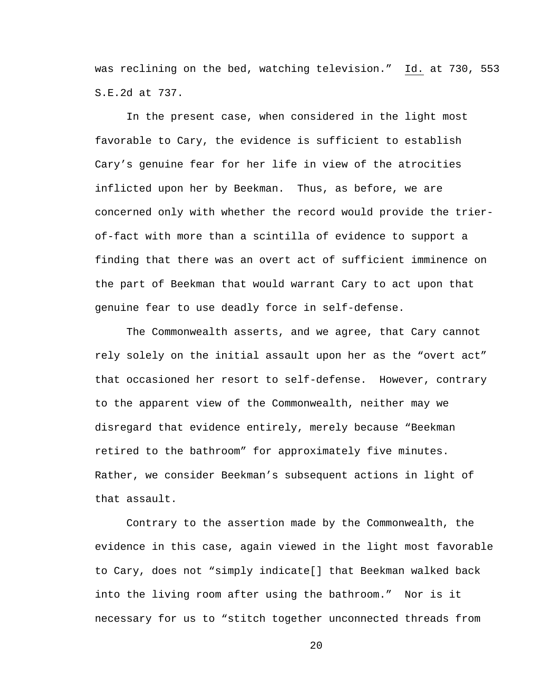was reclining on the bed, watching television." Id. at 730, 553 S.E.2d at 737.

In the present case, when considered in the light most favorable to Cary, the evidence is sufficient to establish Cary's genuine fear for her life in view of the atrocities inflicted upon her by Beekman. Thus, as before, we are concerned only with whether the record would provide the trierof-fact with more than a scintilla of evidence to support a finding that there was an overt act of sufficient imminence on the part of Beekman that would warrant Cary to act upon that genuine fear to use deadly force in self-defense.

The Commonwealth asserts, and we agree, that Cary cannot rely solely on the initial assault upon her as the "overt act" that occasioned her resort to self-defense. However, contrary to the apparent view of the Commonwealth, neither may we disregard that evidence entirely, merely because "Beekman retired to the bathroom" for approximately five minutes. Rather, we consider Beekman's subsequent actions in light of that assault.

Contrary to the assertion made by the Commonwealth, the evidence in this case, again viewed in the light most favorable to Cary, does not "simply indicate[] that Beekman walked back into the living room after using the bathroom." Nor is it necessary for us to "stitch together unconnected threads from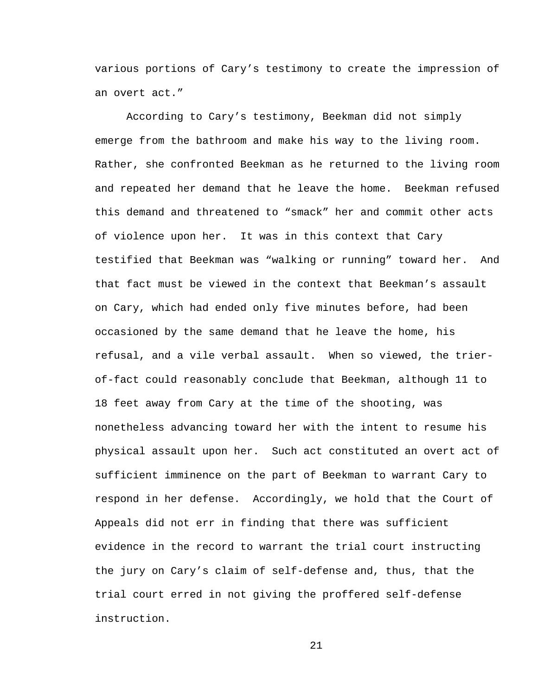various portions of Cary's testimony to create the impression of an overt act."

According to Cary's testimony, Beekman did not simply emerge from the bathroom and make his way to the living room. Rather, she confronted Beekman as he returned to the living room and repeated her demand that he leave the home. Beekman refused this demand and threatened to "smack" her and commit other acts of violence upon her. It was in this context that Cary testified that Beekman was "walking or running" toward her. And that fact must be viewed in the context that Beekman's assault on Cary, which had ended only five minutes before, had been occasioned by the same demand that he leave the home, his refusal, and a vile verbal assault. When so viewed, the trierof-fact could reasonably conclude that Beekman, although 11 to 18 feet away from Cary at the time of the shooting, was nonetheless advancing toward her with the intent to resume his physical assault upon her. Such act constituted an overt act of sufficient imminence on the part of Beekman to warrant Cary to respond in her defense. Accordingly, we hold that the Court of Appeals did not err in finding that there was sufficient evidence in the record to warrant the trial court instructing the jury on Cary's claim of self-defense and, thus, that the trial court erred in not giving the proffered self-defense instruction.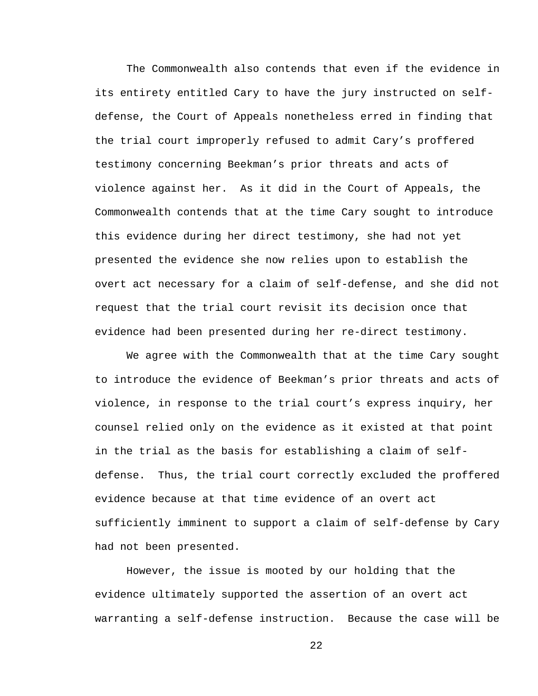The Commonwealth also contends that even if the evidence in its entirety entitled Cary to have the jury instructed on selfdefense, the Court of Appeals nonetheless erred in finding that the trial court improperly refused to admit Cary's proffered testimony concerning Beekman's prior threats and acts of violence against her. As it did in the Court of Appeals, the Commonwealth contends that at the time Cary sought to introduce this evidence during her direct testimony, she had not yet presented the evidence she now relies upon to establish the overt act necessary for a claim of self-defense, and she did not request that the trial court revisit its decision once that evidence had been presented during her re-direct testimony.

We agree with the Commonwealth that at the time Cary sought to introduce the evidence of Beekman's prior threats and acts of violence, in response to the trial court's express inquiry, her counsel relied only on the evidence as it existed at that point in the trial as the basis for establishing a claim of selfdefense. Thus, the trial court correctly excluded the proffered evidence because at that time evidence of an overt act sufficiently imminent to support a claim of self-defense by Cary had not been presented.

However, the issue is mooted by our holding that the evidence ultimately supported the assertion of an overt act warranting a self-defense instruction. Because the case will be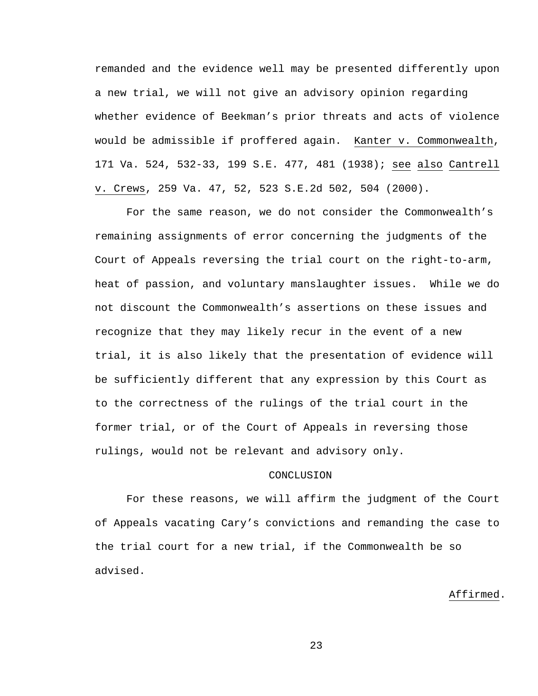remanded and the evidence well may be presented differently upon a new trial, we will not give an advisory opinion regarding whether evidence of Beekman's prior threats and acts of violence would be admissible if proffered again. Kanter v. Commonwealth, 171 Va. 524, 532-33, 199 S.E. 477, 481 (1938); see also Cantrell v. Crews, 259 Va. 47, 52, 523 S.E.2d 502, 504 (2000).

For the same reason, we do not consider the Commonwealth's remaining assignments of error concerning the judgments of the Court of Appeals reversing the trial court on the right-to-arm, heat of passion, and voluntary manslaughter issues. While we do not discount the Commonwealth's assertions on these issues and recognize that they may likely recur in the event of a new trial, it is also likely that the presentation of evidence will be sufficiently different that any expression by this Court as to the correctness of the rulings of the trial court in the former trial, or of the Court of Appeals in reversing those rulings, would not be relevant and advisory only.

#### CONCLUSION

For these reasons, we will affirm the judgment of the Court of Appeals vacating Cary's convictions and remanding the case to the trial court for a new trial, if the Commonwealth be so advised.

## Affirmed.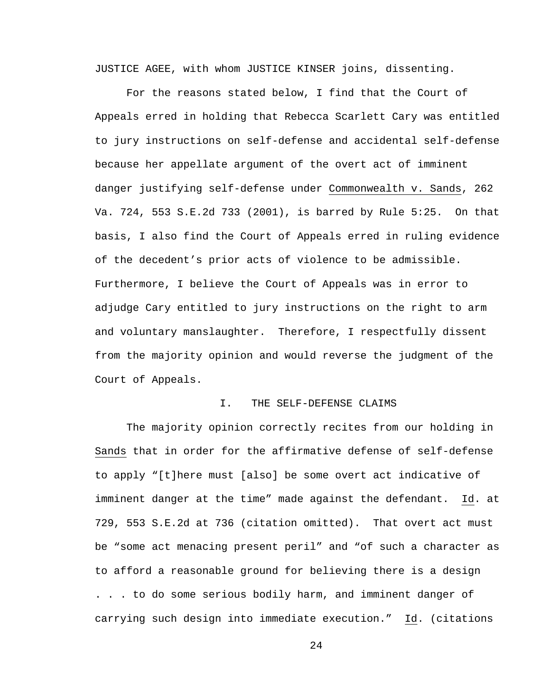JUSTICE AGEE, with whom JUSTICE KINSER joins, dissenting.

For the reasons stated below, I find that the Court of Appeals erred in holding that Rebecca Scarlett Cary was entitled to jury instructions on self-defense and accidental self-defense because her appellate argument of the overt act of imminent danger justifying self-defense under Commonwealth v. Sands, 262 Va. 724, 553 S.E.2d 733 (2001), is barred by Rule 5:25. On that basis, I also find the Court of Appeals erred in ruling evidence of the decedent's prior acts of violence to be admissible. Furthermore, I believe the Court of Appeals was in error to adjudge Cary entitled to jury instructions on the right to arm and voluntary manslaughter. Therefore, I respectfully dissent from the majority opinion and would reverse the judgment of the Court of Appeals.

### I. THE SELF-DEFENSE CLAIMS

The majority opinion correctly recites from our holding in Sands that in order for the affirmative defense of self-defense to apply "[t]here must [also] be some overt act indicative of imminent danger at the time" made against the defendant. Id. at 729, 553 S.E.2d at 736 (citation omitted). That overt act must be "some act menacing present peril" and "of such a character as to afford a reasonable ground for believing there is a design . . . to do some serious bodily harm, and imminent danger of carrying such design into immediate execution." Id. (citations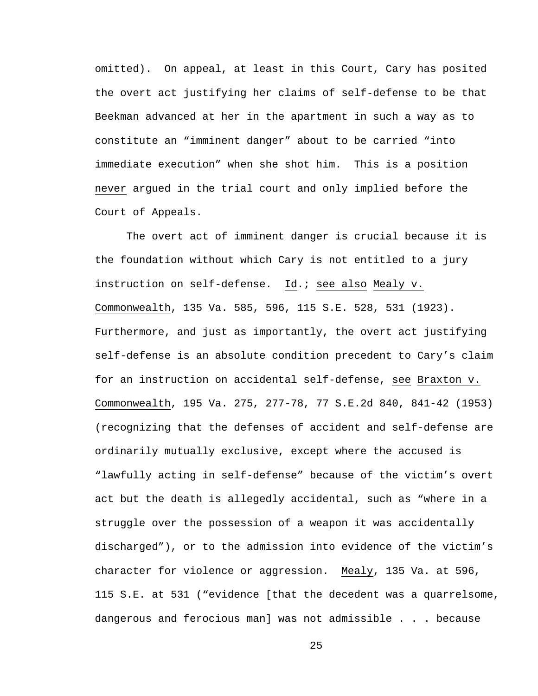omitted). On appeal, at least in this Court, Cary has posited the overt act justifying her claims of self-defense to be that Beekman advanced at her in the apartment in such a way as to constitute an "imminent danger" about to be carried "into immediate execution" when she shot him. This is a position never argued in the trial court and only implied before the Court of Appeals.

The overt act of imminent danger is crucial because it is the foundation without which Cary is not entitled to a jury instruction on self-defense. Id.; see also Mealy v. Commonwealth, 135 Va. 585, 596, 115 S.E. 528, 531 (1923). Furthermore, and just as importantly, the overt act justifying self-defense is an absolute condition precedent to Cary's claim for an instruction on accidental self-defense, see Braxton v. Commonwealth, 195 Va. 275, 277-78, 77 S.E.2d 840, 841-42 (1953) (recognizing that the defenses of accident and self-defense are ordinarily mutually exclusive, except where the accused is "lawfully acting in self-defense" because of the victim's overt act but the death is allegedly accidental, such as "where in a struggle over the possession of a weapon it was accidentally discharged"), or to the admission into evidence of the victim's character for violence or aggression. Mealy, 135 Va. at 596, 115 S.E. at 531 ("evidence [that the decedent was a quarrelsome, dangerous and ferocious man] was not admissible . . . because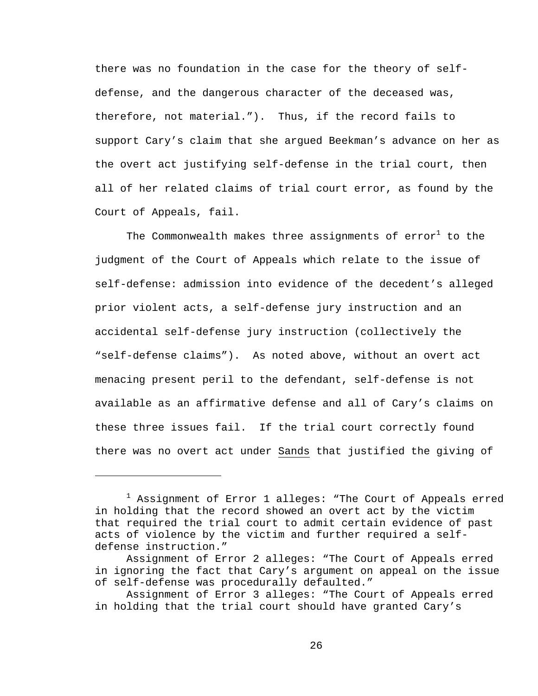there was no foundation in the case for the theory of selfdefense, and the dangerous character of the deceased was, therefore, not material."). Thus, if the record fails to support Cary's claim that she argued Beekman's advance on her as the overt act justifying self-defense in the trial court, then all of her related claims of trial court error, as found by the Court of Appeals, fail.

The Commonwealth makes three assignments of  $\text{error}^1$  to the judgment of the Court of Appeals which relate to the issue of self-defense: admission into evidence of the decedent's alleged prior violent acts, a self-defense jury instruction and an accidental self-defense jury instruction (collectively the "self-defense claims"). As noted above, without an overt act menacing present peril to the defendant, self-defense is not available as an affirmative defense and all of Cary's claims on these three issues fail. If the trial court correctly found there was no overt act under Sands that justified the giving of

i<br>Li

<sup>&</sup>lt;sup>1</sup> Assignment of Error 1 alleges: "The Court of Appeals erred in holding that the record showed an overt act by the victim that required the trial court to admit certain evidence of past acts of violence by the victim and further required a selfdefense instruction."

Assignment of Error 2 alleges: "The Court of Appeals erred in ignoring the fact that Cary's argument on appeal on the issue of self-defense was procedurally defaulted."

Assignment of Error 3 alleges: "The Court of Appeals erred in holding that the trial court should have granted Cary's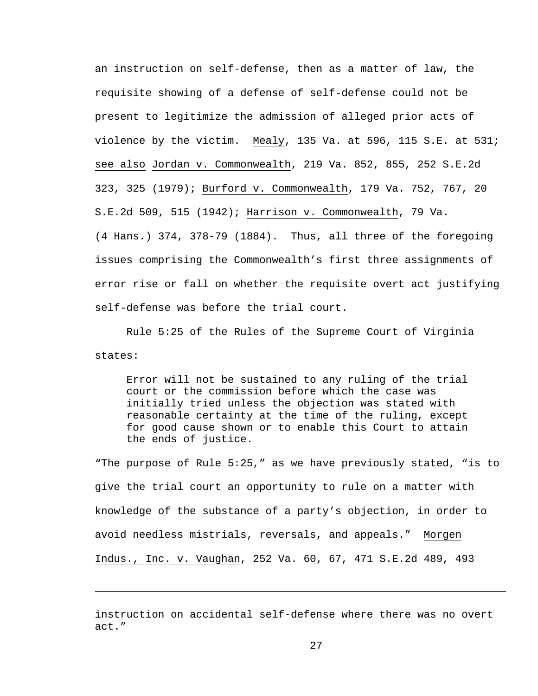an instruction on self-defense, then as a matter of law, the requisite showing of a defense of self-defense could not be present to legitimize the admission of alleged prior acts of violence by the victim. Mealy, 135 Va. at 596, 115 S.E. at 531; see also Jordan v. Commonwealth, 219 Va. 852, 855, 252 S.E.2d 323, 325 (1979); Burford v. Commonwealth, 179 Va. 752, 767, 20 S.E.2d 509, 515 (1942); Harrison v. Commonwealth, 79 Va. (4 Hans.) 374, 378-79 (1884). Thus, all three of the foregoing issues comprising the Commonwealth's first three assignments of error rise or fall on whether the requisite overt act justifying self-defense was before the trial court.

Rule 5:25 of the Rules of the Supreme Court of Virginia states:

Error will not be sustained to any ruling of the trial court or the commission before which the case was initially tried unless the objection was stated with reasonable certainty at the time of the ruling, except for good cause shown or to enable this Court to attain the ends of justice.

"The purpose of Rule 5:25," as we have previously stated, "is to give the trial court an opportunity to rule on a matter with knowledge of the substance of a party's objection, in order to avoid needless mistrials, reversals, and appeals." Morgen Indus., Inc. v. Vaughan, 252 Va. 60, 67, 471 S.E.2d 489, 493

instruction on accidental self-defense where there was no overt act."

i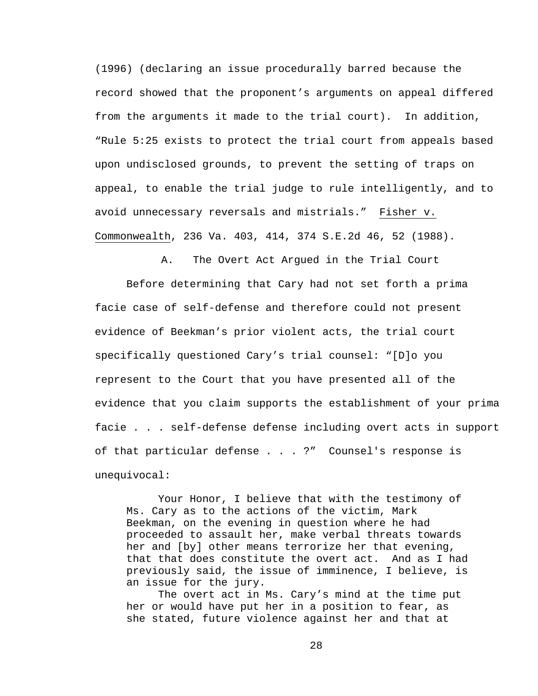(1996) (declaring an issue procedurally barred because the record showed that the proponent's arguments on appeal differed from the arguments it made to the trial court). In addition, "Rule 5:25 exists to protect the trial court from appeals based upon undisclosed grounds, to prevent the setting of traps on appeal, to enable the trial judge to rule intelligently, and to avoid unnecessary reversals and mistrials." Fisher v. Commonwealth, 236 Va. 403, 414, 374 S.E.2d 46, 52 (1988).

A. The Overt Act Argued in the Trial Court

 Before determining that Cary had not set forth a prima facie case of self-defense and therefore could not present evidence of Beekman's prior violent acts, the trial court specifically questioned Cary's trial counsel: "[D]o you represent to the Court that you have presented all of the evidence that you claim supports the establishment of your prima facie . . . self-defense defense including overt acts in support of that particular defense . . . ?" Counsel's response is unequivocal:

 Your Honor, I believe that with the testimony of Ms. Cary as to the actions of the victim, Mark Beekman, on the evening in question where he had proceeded to assault her, make verbal threats towards her and [by] other means terrorize her that evening, that that does constitute the overt act. And as I had previously said, the issue of imminence, I believe, is an issue for the jury.

 The overt act in Ms. Cary's mind at the time put her or would have put her in a position to fear, as she stated, future violence against her and that at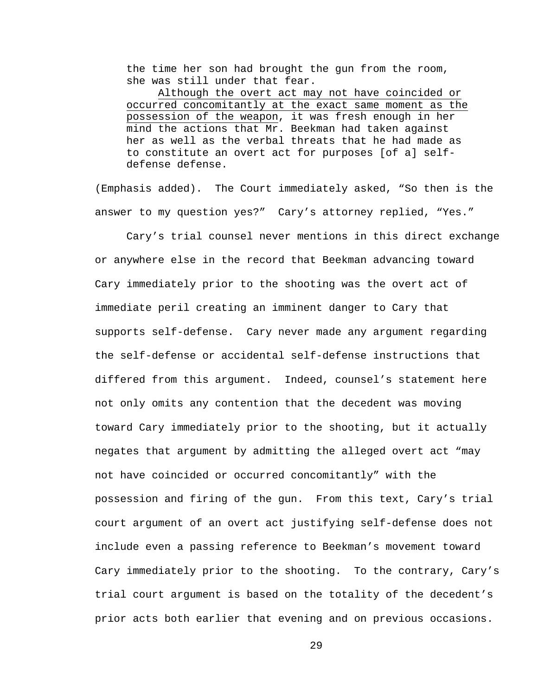the time her son had brought the gun from the room, she was still under that fear.

 Although the overt act may not have coincided or occurred concomitantly at the exact same moment as the possession of the weapon, it was fresh enough in her mind the actions that Mr. Beekman had taken against her as well as the verbal threats that he had made as to constitute an overt act for purposes [of a] selfdefense defense.

(Emphasis added). The Court immediately asked, "So then is the answer to my question yes?" Cary's attorney replied, "Yes."

 Cary's trial counsel never mentions in this direct exchange or anywhere else in the record that Beekman advancing toward Cary immediately prior to the shooting was the overt act of immediate peril creating an imminent danger to Cary that supports self-defense. Cary never made any argument regarding the self-defense or accidental self-defense instructions that differed from this argument. Indeed, counsel's statement here not only omits any contention that the decedent was moving toward Cary immediately prior to the shooting, but it actually negates that argument by admitting the alleged overt act "may not have coincided or occurred concomitantly" with the possession and firing of the gun. From this text, Cary's trial court argument of an overt act justifying self-defense does not include even a passing reference to Beekman's movement toward Cary immediately prior to the shooting. To the contrary, Cary's trial court argument is based on the totality of the decedent's prior acts both earlier that evening and on previous occasions.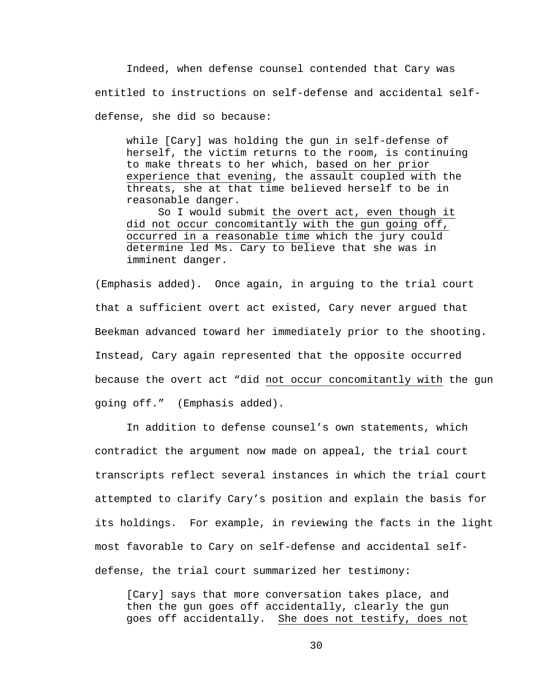Indeed, when defense counsel contended that Cary was entitled to instructions on self-defense and accidental selfdefense, she did so because:

while [Cary] was holding the gun in self-defense of herself, the victim returns to the room, is continuing to make threats to her which, based on her prior experience that evening, the assault coupled with the threats, she at that time believed herself to be in reasonable danger.

So I would submit the overt act, even though it did not occur concomitantly with the gun going off, occurred in a reasonable time which the jury could determine led Ms. Cary to believe that she was in imminent danger.

(Emphasis added). Once again, in arguing to the trial court that a sufficient overt act existed, Cary never argued that Beekman advanced toward her immediately prior to the shooting. Instead, Cary again represented that the opposite occurred because the overt act "did not occur concomitantly with the gun going off." (Emphasis added).

 In addition to defense counsel's own statements, which contradict the argument now made on appeal, the trial court transcripts reflect several instances in which the trial court attempted to clarify Cary's position and explain the basis for its holdings. For example, in reviewing the facts in the light most favorable to Cary on self-defense and accidental selfdefense, the trial court summarized her testimony:

[Cary] says that more conversation takes place, and then the gun goes off accidentally, clearly the gun goes off accidentally. She does not testify, does not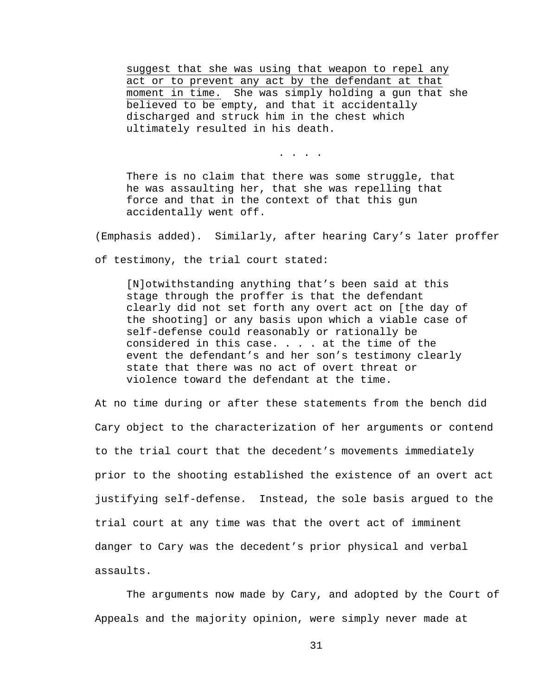suggest that she was using that weapon to repel any act or to prevent any act by the defendant at that moment in time. She was simply holding a gun that she believed to be empty, and that it accidentally discharged and struck him in the chest which ultimately resulted in his death.

. . . .

There is no claim that there was some struggle, that he was assaulting her, that she was repelling that force and that in the context of that this gun accidentally went off.

(Emphasis added). Similarly, after hearing Cary's later proffer

of testimony, the trial court stated:

[N]otwithstanding anything that's been said at this stage through the proffer is that the defendant clearly did not set forth any overt act on [the day of the shooting] or any basis upon which a viable case of self-defense could reasonably or rationally be considered in this case. . . . at the time of the event the defendant's and her son's testimony clearly state that there was no act of overt threat or violence toward the defendant at the time.

At no time during or after these statements from the bench did Cary object to the characterization of her arguments or contend to the trial court that the decedent's movements immediately prior to the shooting established the existence of an overt act justifying self-defense. Instead, the sole basis argued to the trial court at any time was that the overt act of imminent danger to Cary was the decedent's prior physical and verbal assaults.

The arguments now made by Cary, and adopted by the Court of Appeals and the majority opinion, were simply never made at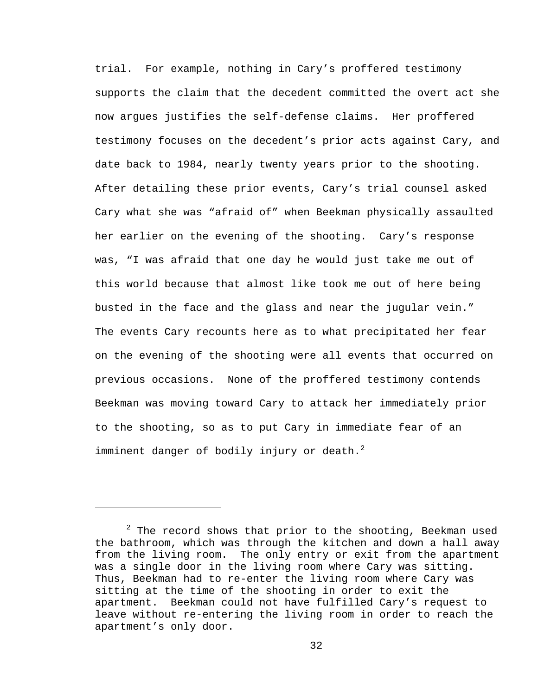trial. For example, nothing in Cary's proffered testimony supports the claim that the decedent committed the overt act she now argues justifies the self-defense claims. Her proffered testimony focuses on the decedent's prior acts against Cary, and date back to 1984, nearly twenty years prior to the shooting. After detailing these prior events, Cary's trial counsel asked Cary what she was "afraid of" when Beekman physically assaulted her earlier on the evening of the shooting. Cary's response was, "I was afraid that one day he would just take me out of this world because that almost like took me out of here being busted in the face and the glass and near the jugular vein." The events Cary recounts here as to what precipitated her fear on the evening of the shooting were all events that occurred on previous occasions. None of the proffered testimony contends Beekman was moving toward Cary to attack her immediately prior to the shooting, so as to put Cary in immediate fear of an imminent danger of bodily injury or death. $^2$ 

i<br>Li

 $2$  The record shows that prior to the shooting, Beekman used the bathroom, which was through the kitchen and down a hall away from the living room. The only entry or exit from the apartment was a single door in the living room where Cary was sitting. Thus, Beekman had to re-enter the living room where Cary was sitting at the time of the shooting in order to exit the apartment. Beekman could not have fulfilled Cary's request to leave without re-entering the living room in order to reach the apartment's only door.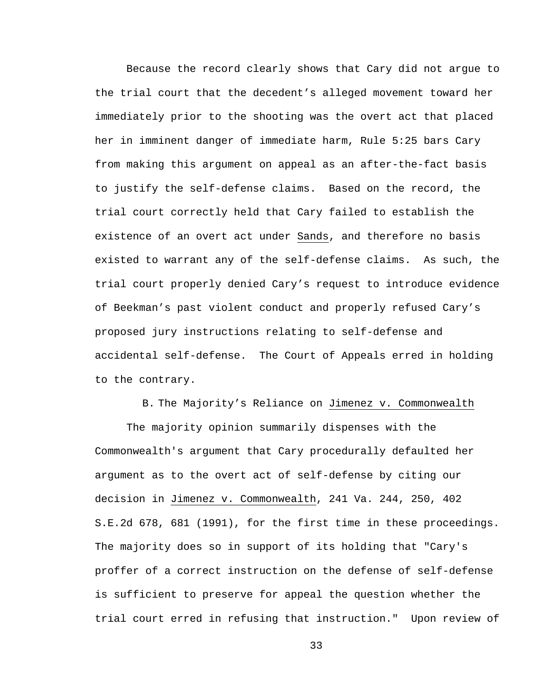Because the record clearly shows that Cary did not argue to the trial court that the decedent's alleged movement toward her immediately prior to the shooting was the overt act that placed her in imminent danger of immediate harm, Rule 5:25 bars Cary from making this argument on appeal as an after-the-fact basis to justify the self-defense claims. Based on the record, the trial court correctly held that Cary failed to establish the existence of an overt act under Sands, and therefore no basis existed to warrant any of the self-defense claims. As such, the trial court properly denied Cary's request to introduce evidence of Beekman's past violent conduct and properly refused Cary's proposed jury instructions relating to self-defense and accidental self-defense. The Court of Appeals erred in holding to the contrary.

B. The Majority's Reliance on Jimenez v. Commonwealth

The majority opinion summarily dispenses with the Commonwealth's argument that Cary procedurally defaulted her argument as to the overt act of self-defense by citing our decision in Jimenez v. Commonwealth, 241 Va. 244, 250, 402 S.E.2d 678, 681 (1991), for the first time in these proceedings. The majority does so in support of its holding that "Cary's proffer of a correct instruction on the defense of self-defense is sufficient to preserve for appeal the question whether the trial court erred in refusing that instruction." Upon review of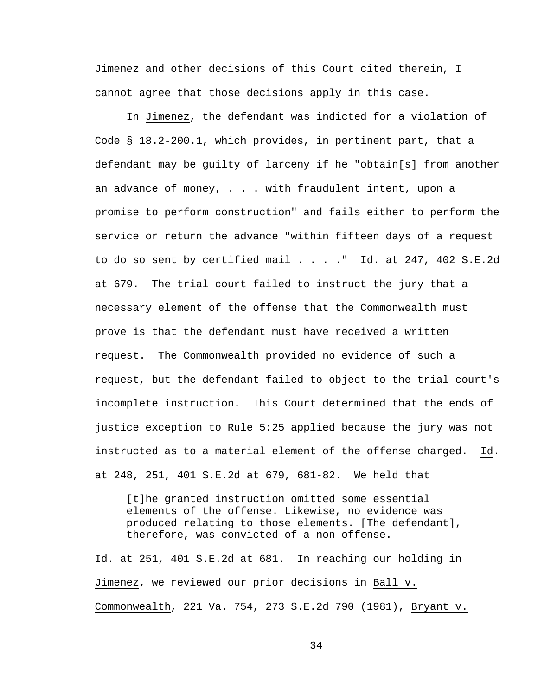Jimenez and other decisions of this Court cited therein, I cannot agree that those decisions apply in this case.

In Jimenez, the defendant was indicted for a violation of Code § 18.2-200.1, which provides, in pertinent part, that a defendant may be guilty of larceny if he "obtain[s] from another an advance of money, . . . with fraudulent intent, upon a promise to perform construction" and fails either to perform the service or return the advance "within fifteen days of a request to do so sent by certified mail . . . ." Id. at 247, 402 S.E.2d at 679. The trial court failed to instruct the jury that a necessary element of the offense that the Commonwealth must prove is that the defendant must have received a written request. The Commonwealth provided no evidence of such a request, but the defendant failed to object to the trial court's incomplete instruction. This Court determined that the ends of justice exception to Rule 5:25 applied because the jury was not instructed as to a material element of the offense charged. Id. at 248, 251, 401 S.E.2d at 679, 681-82. We held that

[t]he granted instruction omitted some essential elements of the offense. Likewise, no evidence was produced relating to those elements. [The defendant], therefore, was convicted of a non-offense.

Id. at 251, 401 S.E.2d at 681. In reaching our holding in Jimenez, we reviewed our prior decisions in Ball v. Commonwealth, 221 Va. 754, 273 S.E.2d 790 (1981), Bryant v.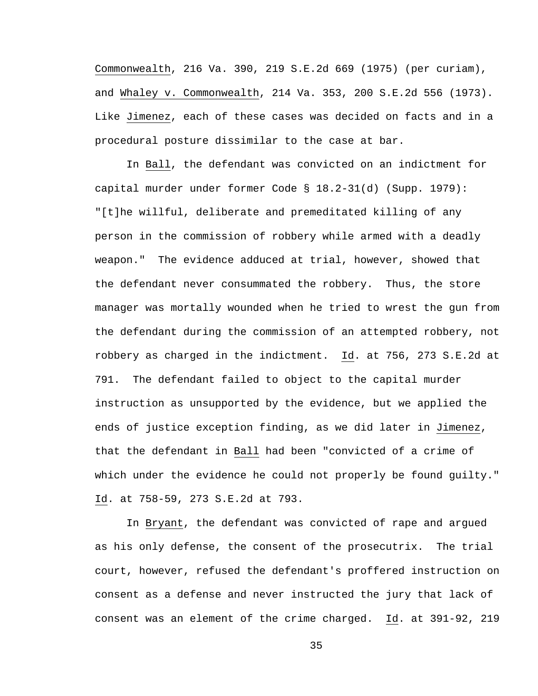Commonwealth, 216 Va. 390, 219 S.E.2d 669 (1975) (per curiam), and Whaley v. Commonwealth, 214 Va. 353, 200 S.E.2d 556 (1973). Like Jimenez, each of these cases was decided on facts and in a procedural posture dissimilar to the case at bar.

In Ball, the defendant was convicted on an indictment for capital murder under former Code § 18.2-31(d) (Supp. 1979): "[t]he willful, deliberate and premeditated killing of any person in the commission of robbery while armed with a deadly weapon." The evidence adduced at trial, however, showed that the defendant never consummated the robbery. Thus, the store manager was mortally wounded when he tried to wrest the gun from the defendant during the commission of an attempted robbery, not robbery as charged in the indictment. Id. at 756, 273 S.E.2d at 791. The defendant failed to object to the capital murder instruction as unsupported by the evidence, but we applied the ends of justice exception finding, as we did later in Jimenez, that the defendant in Ball had been "convicted of a crime of which under the evidence he could not properly be found guilty." Id. at 758-59, 273 S.E.2d at 793.

In Bryant, the defendant was convicted of rape and argued as his only defense, the consent of the prosecutrix. The trial court, however, refused the defendant's proffered instruction on consent as a defense and never instructed the jury that lack of consent was an element of the crime charged. Id. at 391-92, 219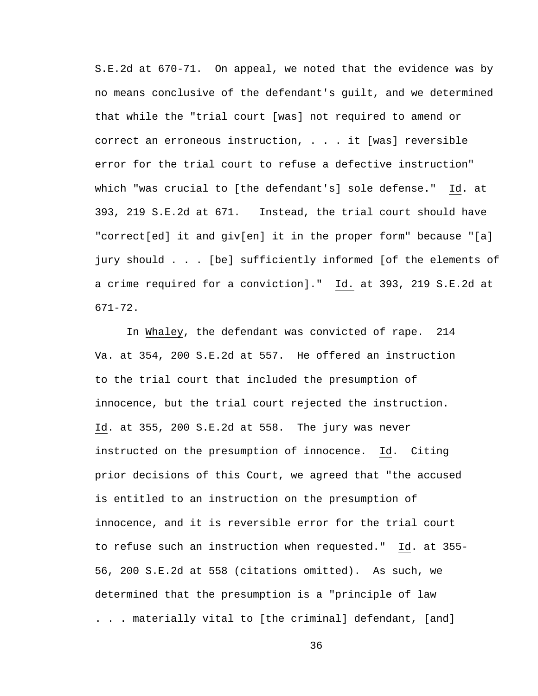S.E.2d at 670-71. On appeal, we noted that the evidence was by no means conclusive of the defendant's guilt, and we determined that while the "trial court [was] not required to amend or correct an erroneous instruction, . . . it [was] reversible error for the trial court to refuse a defective instruction" which "was crucial to [the defendant's] sole defense." Id. at 393, 219 S.E.2d at 671. Instead, the trial court should have "correct[ed] it and giv[en] it in the proper form" because "[a] jury should . . . [be] sufficiently informed [of the elements of a crime required for a conviction]." Id. at 393, 219 S.E.2d at 671-72.

In Whaley, the defendant was convicted of rape. 214 Va. at 354, 200 S.E.2d at 557. He offered an instruction to the trial court that included the presumption of innocence, but the trial court rejected the instruction. Id. at 355, 200 S.E.2d at 558. The jury was never instructed on the presumption of innocence. Id. Citing prior decisions of this Court, we agreed that "the accused is entitled to an instruction on the presumption of innocence, and it is reversible error for the trial court to refuse such an instruction when requested." Id. at 355- 56, 200 S.E.2d at 558 (citations omitted). As such, we determined that the presumption is a "principle of law . . . materially vital to [the criminal] defendant, [and]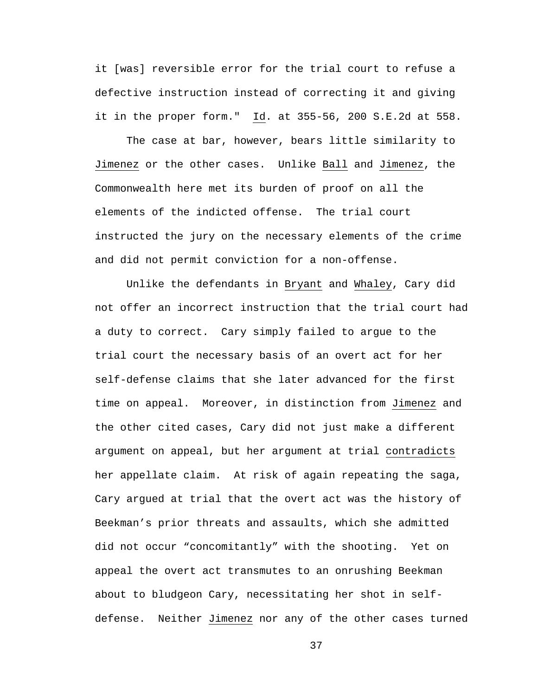it [was] reversible error for the trial court to refuse a defective instruction instead of correcting it and giving it in the proper form." Id. at 355-56, 200 S.E.2d at 558.

The case at bar, however, bears little similarity to Jimenez or the other cases. Unlike Ball and Jimenez, the Commonwealth here met its burden of proof on all the elements of the indicted offense. The trial court instructed the jury on the necessary elements of the crime and did not permit conviction for a non-offense.

 Unlike the defendants in Bryant and Whaley, Cary did not offer an incorrect instruction that the trial court had a duty to correct. Cary simply failed to argue to the trial court the necessary basis of an overt act for her self-defense claims that she later advanced for the first time on appeal. Moreover, in distinction from Jimenez and the other cited cases, Cary did not just make a different argument on appeal, but her argument at trial contradicts her appellate claim. At risk of again repeating the saga, Cary argued at trial that the overt act was the history of Beekman's prior threats and assaults, which she admitted did not occur "concomitantly" with the shooting. Yet on appeal the overt act transmutes to an onrushing Beekman about to bludgeon Cary, necessitating her shot in selfdefense. Neither Jimenez nor any of the other cases turned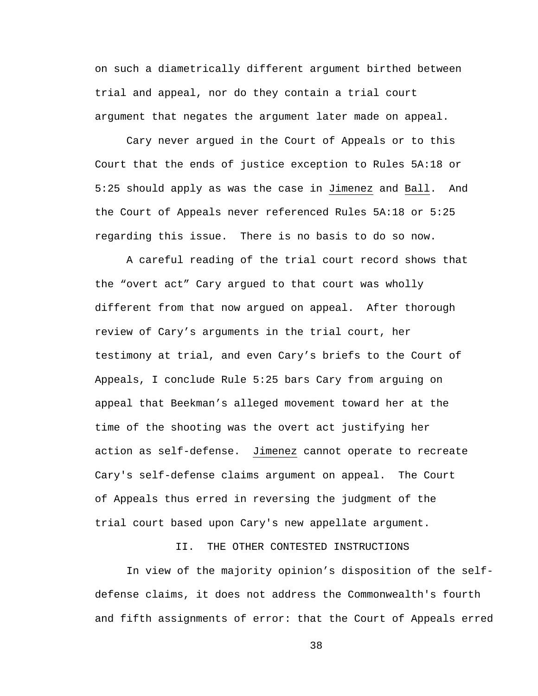on such a diametrically different argument birthed between trial and appeal, nor do they contain a trial court argument that negates the argument later made on appeal.

Cary never argued in the Court of Appeals or to this Court that the ends of justice exception to Rules 5A:18 or 5:25 should apply as was the case in Jimenez and Ball. And the Court of Appeals never referenced Rules 5A:18 or 5:25 regarding this issue. There is no basis to do so now.

 A careful reading of the trial court record shows that the "overt act" Cary argued to that court was wholly different from that now argued on appeal. After thorough review of Cary's arguments in the trial court, her testimony at trial, and even Cary's briefs to the Court of Appeals, I conclude Rule 5:25 bars Cary from arguing on appeal that Beekman's alleged movement toward her at the time of the shooting was the overt act justifying her action as self-defense. Jimenez cannot operate to recreate Cary's self-defense claims argument on appeal. The Court of Appeals thus erred in reversing the judgment of the trial court based upon Cary's new appellate argument.

II. THE OTHER CONTESTED INSTRUCTIONS

In view of the majority opinion's disposition of the selfdefense claims, it does not address the Commonwealth's fourth and fifth assignments of error: that the Court of Appeals erred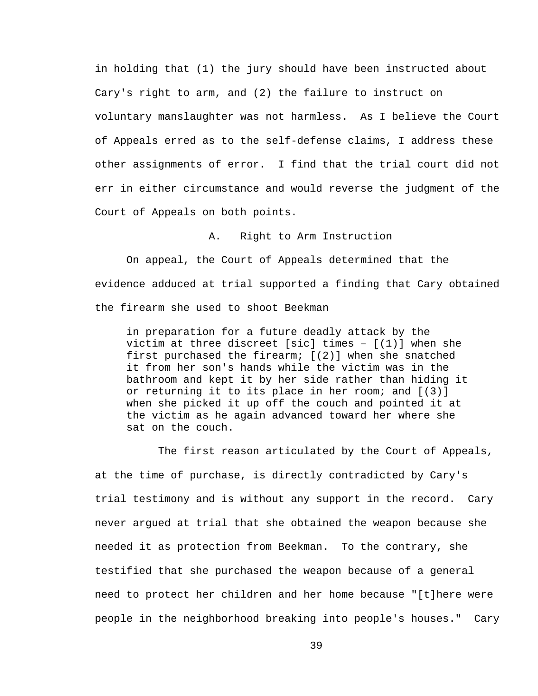in holding that (1) the jury should have been instructed about Cary's right to arm, and (2) the failure to instruct on voluntary manslaughter was not harmless. As I believe the Court of Appeals erred as to the self-defense claims, I address these other assignments of error. I find that the trial court did not err in either circumstance and would reverse the judgment of the Court of Appeals on both points.

A. Right to Arm Instruction

 On appeal, the Court of Appeals determined that the evidence adduced at trial supported a finding that Cary obtained the firearm she used to shoot Beekman

in preparation for a future deadly attack by the victim at three discreet [sic] times  $-$  [(1)] when she first purchased the firearm; [(2)] when she snatched it from her son's hands while the victim was in the bathroom and kept it by her side rather than hiding it or returning it to its place in her room; and [(3)] when she picked it up off the couch and pointed it at the victim as he again advanced toward her where she sat on the couch.

 The first reason articulated by the Court of Appeals, at the time of purchase, is directly contradicted by Cary's trial testimony and is without any support in the record. Cary never argued at trial that she obtained the weapon because she needed it as protection from Beekman. To the contrary, she testified that she purchased the weapon because of a general need to protect her children and her home because "[t]here were people in the neighborhood breaking into people's houses." Cary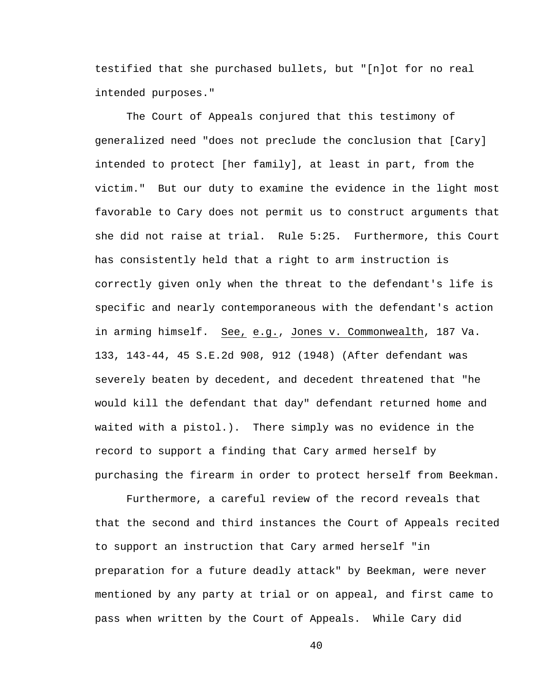testified that she purchased bullets, but "[n]ot for no real intended purposes."

The Court of Appeals conjured that this testimony of generalized need "does not preclude the conclusion that [Cary] intended to protect [her family], at least in part, from the victim." But our duty to examine the evidence in the light most favorable to Cary does not permit us to construct arguments that she did not raise at trial. Rule 5:25. Furthermore, this Court has consistently held that a right to arm instruction is correctly given only when the threat to the defendant's life is specific and nearly contemporaneous with the defendant's action in arming himself. See, e.g., Jones v. Commonwealth, 187 Va. 133, 143-44, 45 S.E.2d 908, 912 (1948) (After defendant was severely beaten by decedent, and decedent threatened that "he would kill the defendant that day" defendant returned home and waited with a pistol.). There simply was no evidence in the record to support a finding that Cary armed herself by purchasing the firearm in order to protect herself from Beekman.

Furthermore, a careful review of the record reveals that that the second and third instances the Court of Appeals recited to support an instruction that Cary armed herself "in preparation for a future deadly attack" by Beekman, were never mentioned by any party at trial or on appeal, and first came to pass when written by the Court of Appeals. While Cary did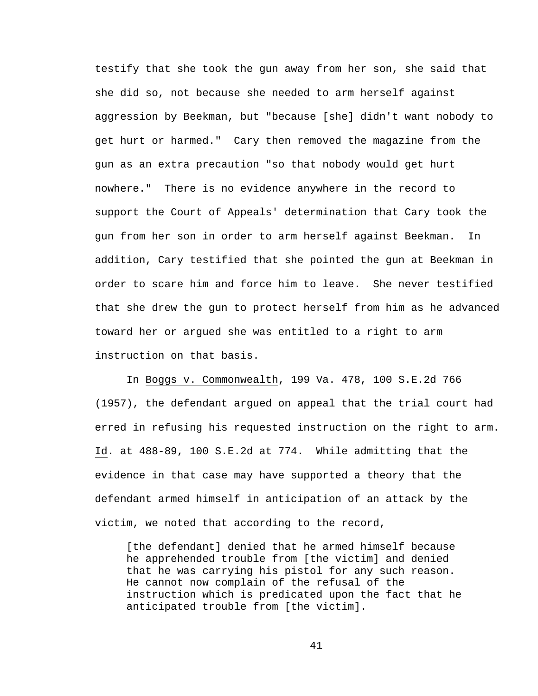testify that she took the gun away from her son, she said that she did so, not because she needed to arm herself against aggression by Beekman, but "because [she] didn't want nobody to get hurt or harmed." Cary then removed the magazine from the gun as an extra precaution "so that nobody would get hurt nowhere." There is no evidence anywhere in the record to support the Court of Appeals' determination that Cary took the gun from her son in order to arm herself against Beekman. In addition, Cary testified that she pointed the gun at Beekman in order to scare him and force him to leave. She never testified that she drew the gun to protect herself from him as he advanced toward her or argued she was entitled to a right to arm instruction on that basis.

In Boggs v. Commonwealth, 199 Va. 478, 100 S.E.2d 766 (1957), the defendant argued on appeal that the trial court had erred in refusing his requested instruction on the right to arm. Id. at 488-89, 100 S.E.2d at 774. While admitting that the evidence in that case may have supported a theory that the defendant armed himself in anticipation of an attack by the victim, we noted that according to the record,

[the defendant] denied that he armed himself because he apprehended trouble from [the victim] and denied that he was carrying his pistol for any such reason. He cannot now complain of the refusal of the instruction which is predicated upon the fact that he anticipated trouble from [the victim].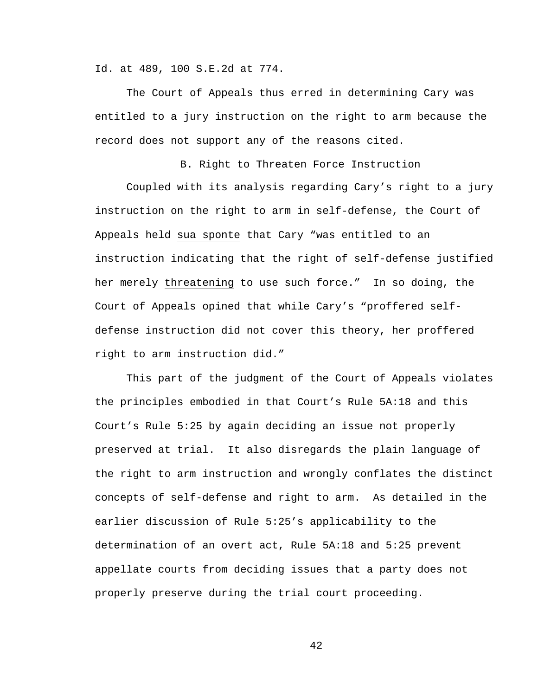Id. at 489, 100 S.E.2d at 774.

The Court of Appeals thus erred in determining Cary was entitled to a jury instruction on the right to arm because the record does not support any of the reasons cited.

B. Right to Threaten Force Instruction

Coupled with its analysis regarding Cary's right to a jury instruction on the right to arm in self-defense, the Court of Appeals held sua sponte that Cary "was entitled to an instruction indicating that the right of self-defense justified her merely threatening to use such force." In so doing, the Court of Appeals opined that while Cary's "proffered selfdefense instruction did not cover this theory, her proffered right to arm instruction did."

This part of the judgment of the Court of Appeals violates the principles embodied in that Court's Rule 5A:18 and this Court's Rule 5:25 by again deciding an issue not properly preserved at trial. It also disregards the plain language of the right to arm instruction and wrongly conflates the distinct concepts of self-defense and right to arm. As detailed in the earlier discussion of Rule 5:25's applicability to the determination of an overt act, Rule 5A:18 and 5:25 prevent appellate courts from deciding issues that a party does not properly preserve during the trial court proceeding.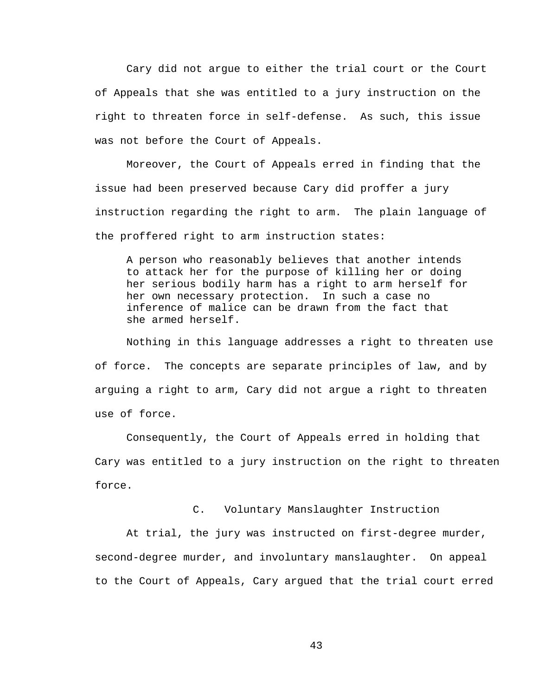Cary did not argue to either the trial court or the Court of Appeals that she was entitled to a jury instruction on the right to threaten force in self-defense. As such, this issue was not before the Court of Appeals.

Moreover, the Court of Appeals erred in finding that the issue had been preserved because Cary did proffer a jury instruction regarding the right to arm. The plain language of the proffered right to arm instruction states:

A person who reasonably believes that another intends to attack her for the purpose of killing her or doing her serious bodily harm has a right to arm herself for her own necessary protection. In such a case no inference of malice can be drawn from the fact that she armed herself.

Nothing in this language addresses a right to threaten use of force. The concepts are separate principles of law, and by arguing a right to arm, Cary did not argue a right to threaten use of force.

Consequently, the Court of Appeals erred in holding that Cary was entitled to a jury instruction on the right to threaten force.

C. Voluntary Manslaughter Instruction

 At trial, the jury was instructed on first-degree murder, second-degree murder, and involuntary manslaughter. On appeal to the Court of Appeals, Cary argued that the trial court erred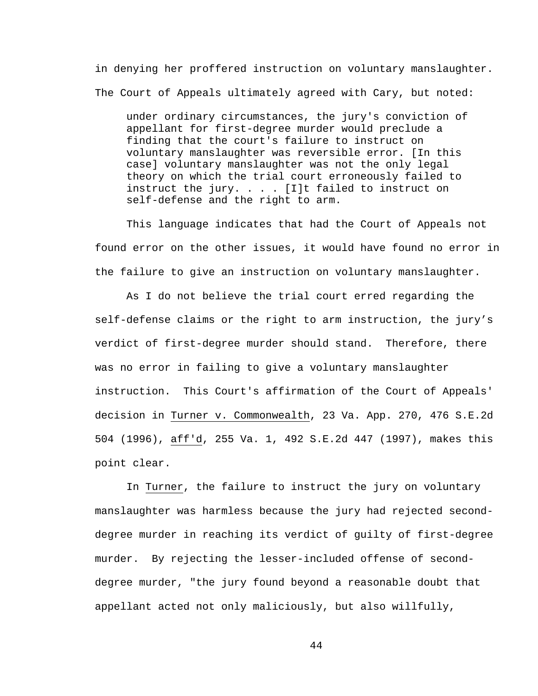in denying her proffered instruction on voluntary manslaughter. The Court of Appeals ultimately agreed with Cary, but noted:

under ordinary circumstances, the jury's conviction of appellant for first-degree murder would preclude a finding that the court's failure to instruct on voluntary manslaughter was reversible error. [In this case] voluntary manslaughter was not the only legal theory on which the trial court erroneously failed to instruct the jury. . . . [I]t failed to instruct on self-defense and the right to arm.

This language indicates that had the Court of Appeals not found error on the other issues, it would have found no error in the failure to give an instruction on voluntary manslaughter.

As I do not believe the trial court erred regarding the self-defense claims or the right to arm instruction, the jury's verdict of first-degree murder should stand. Therefore, there was no error in failing to give a voluntary manslaughter instruction. This Court's affirmation of the Court of Appeals' decision in Turner v. Commonwealth, 23 Va. App. 270, 476 S.E.2d 504 (1996), aff'd, 255 Va. 1, 492 S.E.2d 447 (1997), makes this point clear.

In Turner, the failure to instruct the jury on voluntary manslaughter was harmless because the jury had rejected seconddegree murder in reaching its verdict of guilty of first-degree murder. By rejecting the lesser-included offense of seconddegree murder, "the jury found beyond a reasonable doubt that appellant acted not only maliciously, but also willfully,